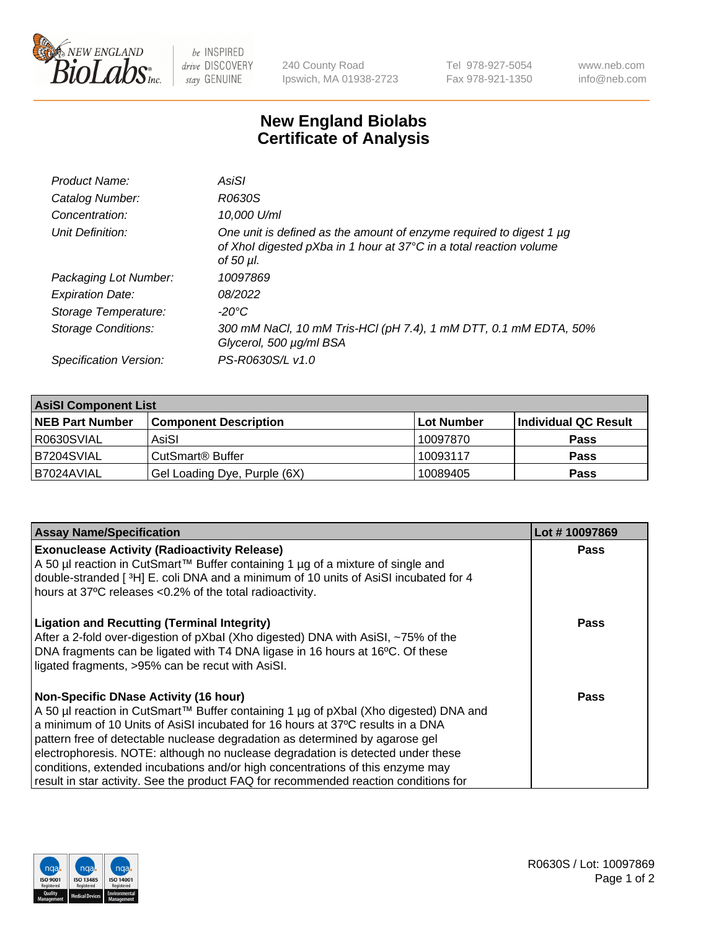

 $be$  INSPIRED drive DISCOVERY stay GENUINE

240 County Road Ipswich, MA 01938-2723 Tel 978-927-5054 Fax 978-921-1350 www.neb.com info@neb.com

## **New England Biolabs Certificate of Analysis**

| Product Name:              | AsiSI                                                                                                                                                       |
|----------------------------|-------------------------------------------------------------------------------------------------------------------------------------------------------------|
| Catalog Number:            | R0630S                                                                                                                                                      |
| Concentration:             | 10,000 U/ml                                                                                                                                                 |
| Unit Definition:           | One unit is defined as the amount of enzyme required to digest 1 µg<br>of Xhol digested pXba in 1 hour at 37°C in a total reaction volume<br>of 50 $\mu$ l. |
| Packaging Lot Number:      | 10097869                                                                                                                                                    |
| <b>Expiration Date:</b>    | 08/2022                                                                                                                                                     |
| Storage Temperature:       | $-20^{\circ}$ C                                                                                                                                             |
| <b>Storage Conditions:</b> | 300 mM NaCl, 10 mM Tris-HCl (pH 7.4), 1 mM DTT, 0.1 mM EDTA, 50%<br>Glycerol, 500 µg/ml BSA                                                                 |
| Specification Version:     | PS-R0630S/L v1.0                                                                                                                                            |

| <b>AsiSI Component List</b> |                              |             |                      |  |
|-----------------------------|------------------------------|-------------|----------------------|--|
| <b>NEB Part Number</b>      | <b>Component Description</b> | ∣Lot Number | Individual QC Result |  |
| I R0630SVIAL                | AsiSI                        | 10097870    | <b>Pass</b>          |  |
| B7204SVIAL                  | CutSmart <sup>®</sup> Buffer | 10093117    | <b>Pass</b>          |  |
| B7024AVIAL                  | Gel Loading Dye, Purple (6X) | 10089405    | <b>Pass</b>          |  |

| <b>Assay Name/Specification</b>                                                                                                                 | Lot #10097869 |
|-------------------------------------------------------------------------------------------------------------------------------------------------|---------------|
| <b>Exonuclease Activity (Radioactivity Release)</b><br>A 50 µl reaction in CutSmart™ Buffer containing 1 µg of a mixture of single and          | <b>Pass</b>   |
| double-stranded [3H] E. coli DNA and a minimum of 10 units of AsiSI incubated for 4<br>hours at 37°C releases <0.2% of the total radioactivity. |               |
| <b>Ligation and Recutting (Terminal Integrity)</b><br>After a 2-fold over-digestion of pXbal (Xho digested) DNA with AsiSI, ~75% of the         | Pass          |
| DNA fragments can be ligated with T4 DNA ligase in 16 hours at 16°C. Of these<br>ligated fragments, >95% can be recut with AsiSI.               |               |
| <b>Non-Specific DNase Activity (16 hour)</b>                                                                                                    | Pass          |
| A 50 µl reaction in CutSmart™ Buffer containing 1 µg of pXbal (Xho digested) DNA and                                                            |               |
| a minimum of 10 Units of AsiSI incubated for 16 hours at 37°C results in a DNA                                                                  |               |
| pattern free of detectable nuclease degradation as determined by agarose gel                                                                    |               |
| electrophoresis. NOTE: although no nuclease degradation is detected under these                                                                 |               |
| conditions, extended incubations and/or high concentrations of this enzyme may                                                                  |               |
| result in star activity. See the product FAQ for recommended reaction conditions for                                                            |               |